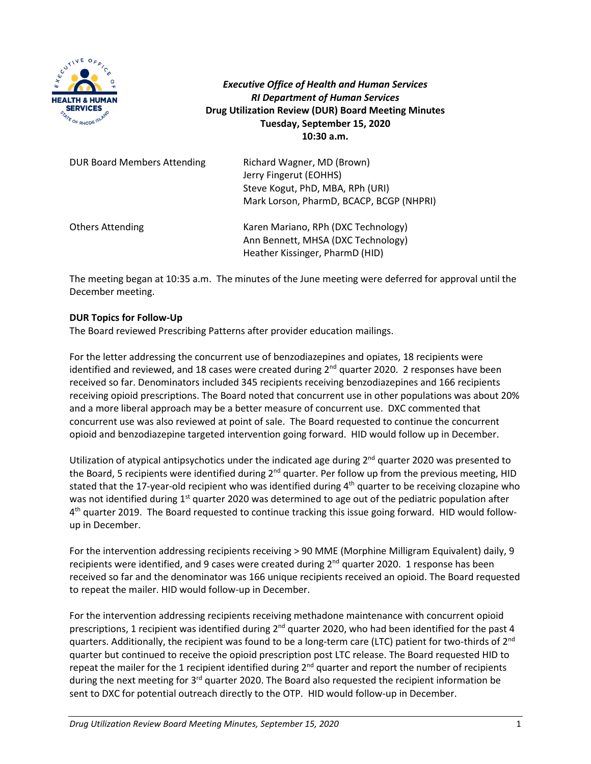

*Executive Office of Health and Human Services RI Department of Human Services* **Drug Utilization Review (DUR) Board Meeting Minutes Tuesday, September 15, 2020 10:30 a.m.**

| <b>DUR Board Members Attending</b> | Richard Wagner, MD (Brown)<br>Jerry Fingerut (EOHHS)<br>Steve Kogut, PhD, MBA, RPh (URI)<br>Mark Lorson, PharmD, BCACP, BCGP (NHPRI) |
|------------------------------------|--------------------------------------------------------------------------------------------------------------------------------------|
| <b>Others Attending</b>            | Karen Mariano, RPh (DXC Technology)<br>Ann Bennett, MHSA (DXC Technology)<br>Heather Kissinger, PharmD (HID)                         |

The meeting began at 10:35 a.m. The minutes of the June meeting were deferred for approval until the December meeting.

## **DUR Topics for Follow-Up**

The Board reviewed Prescribing Patterns after provider education mailings.

For the letter addressing the concurrent use of benzodiazepines and opiates, 18 recipients were identified and reviewed, and 18 cases were created during 2<sup>nd</sup> quarter 2020. 2 responses have been received so far. Denominators included 345 recipients receiving benzodiazepines and 166 recipients receiving opioid prescriptions. The Board noted that concurrent use in other populations was about 20% and a more liberal approach may be a better measure of concurrent use. DXC commented that concurrent use was also reviewed at point of sale. The Board requested to continue the concurrent opioid and benzodiazepine targeted intervention going forward. HID would follow up in December.

Utilization of atypical antipsychotics under the indicated age during 2<sup>nd</sup> quarter 2020 was presented to the Board, 5 recipients were identified during 2<sup>nd</sup> quarter. Per follow up from the previous meeting, HID stated that the 17-year-old recipient who was identified during  $4<sup>th</sup>$  quarter to be receiving clozapine who was not identified during  $1<sup>st</sup>$  quarter 2020 was determined to age out of the pediatric population after 4<sup>th</sup> quarter 2019. The Board requested to continue tracking this issue going forward. HID would followup in December.

For the intervention addressing recipients receiving > 90 MME (Morphine Milligram Equivalent) daily, 9 recipients were identified, and 9 cases were created during 2<sup>nd</sup> quarter 2020. 1 response has been received so far and the denominator was 166 unique recipients received an opioid. The Board requested to repeat the mailer. HID would follow-up in December.

For the intervention addressing recipients receiving methadone maintenance with concurrent opioid prescriptions, 1 recipient was identified during 2<sup>nd</sup> quarter 2020, who had been identified for the past 4 quarters. Additionally, the recipient was found to be a long-term care (LTC) patient for two-thirds of 2<sup>nd</sup> quarter but continued to receive the opioid prescription post LTC release. The Board requested HID to repeat the mailer for the 1 recipient identified during  $2^{nd}$  quarter and report the number of recipients during the next meeting for 3<sup>rd</sup> quarter 2020. The Board also requested the recipient information be sent to DXC for potential outreach directly to the OTP. HID would follow-up in December.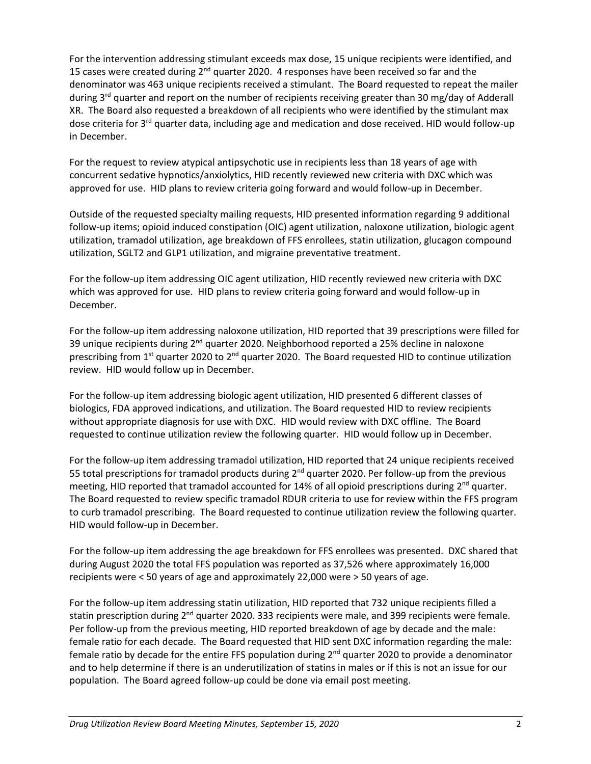For the intervention addressing stimulant exceeds max dose, 15 unique recipients were identified, and 15 cases were created during  $2^{nd}$  quarter 2020. 4 responses have been received so far and the denominator was 463 unique recipients received a stimulant. The Board requested to repeat the mailer during 3<sup>rd</sup> quarter and report on the number of recipients receiving greater than 30 mg/day of Adderall XR. The Board also requested a breakdown of all recipients who were identified by the stimulant max dose criteria for 3<sup>rd</sup> quarter data, including age and medication and dose received. HID would follow-up in December.

For the request to review atypical antipsychotic use in recipients less than 18 years of age with concurrent sedative hypnotics/anxiolytics, HID recently reviewed new criteria with DXC which was approved for use. HID plans to review criteria going forward and would follow-up in December.

Outside of the requested specialty mailing requests, HID presented information regarding 9 additional follow-up items; opioid induced constipation (OIC) agent utilization, naloxone utilization, biologic agent utilization, tramadol utilization, age breakdown of FFS enrollees, statin utilization, glucagon compound utilization, SGLT2 and GLP1 utilization, and migraine preventative treatment.

For the follow-up item addressing OIC agent utilization, HID recently reviewed new criteria with DXC which was approved for use. HID plans to review criteria going forward and would follow-up in December.

For the follow-up item addressing naloxone utilization, HID reported that 39 prescriptions were filled for 39 unique recipients during 2<sup>nd</sup> quarter 2020. Neighborhood reported a 25% decline in naloxone prescribing from  $1<sup>st</sup>$  quarter 2020 to  $2<sup>nd</sup>$  quarter 2020. The Board requested HID to continue utilization review. HID would follow up in December.

For the follow-up item addressing biologic agent utilization, HID presented 6 different classes of biologics, FDA approved indications, and utilization. The Board requested HID to review recipients without appropriate diagnosis for use with DXC. HID would review with DXC offline. The Board requested to continue utilization review the following quarter. HID would follow up in December.

For the follow-up item addressing tramadol utilization, HID reported that 24 unique recipients received 55 total prescriptions for tramadol products during 2<sup>nd</sup> quarter 2020. Per follow-up from the previous meeting, HID reported that tramadol accounted for 14% of all opioid prescriptions during 2<sup>nd</sup> quarter. The Board requested to review specific tramadol RDUR criteria to use for review within the FFS program to curb tramadol prescribing. The Board requested to continue utilization review the following quarter. HID would follow-up in December.

For the follow-up item addressing the age breakdown for FFS enrollees was presented. DXC shared that during August 2020 the total FFS population was reported as 37,526 where approximately 16,000 recipients were < 50 years of age and approximately 22,000 were > 50 years of age.

For the follow-up item addressing statin utilization, HID reported that 732 unique recipients filled a statin prescription during 2<sup>nd</sup> quarter 2020. 333 recipients were male, and 399 recipients were female. Per follow-up from the previous meeting, HID reported breakdown of age by decade and the male: female ratio for each decade. The Board requested that HID sent DXC information regarding the male: female ratio by decade for the entire FFS population during 2<sup>nd</sup> quarter 2020 to provide a denominator and to help determine if there is an underutilization of statins in males or if this is not an issue for our population. The Board agreed follow-up could be done via email post meeting.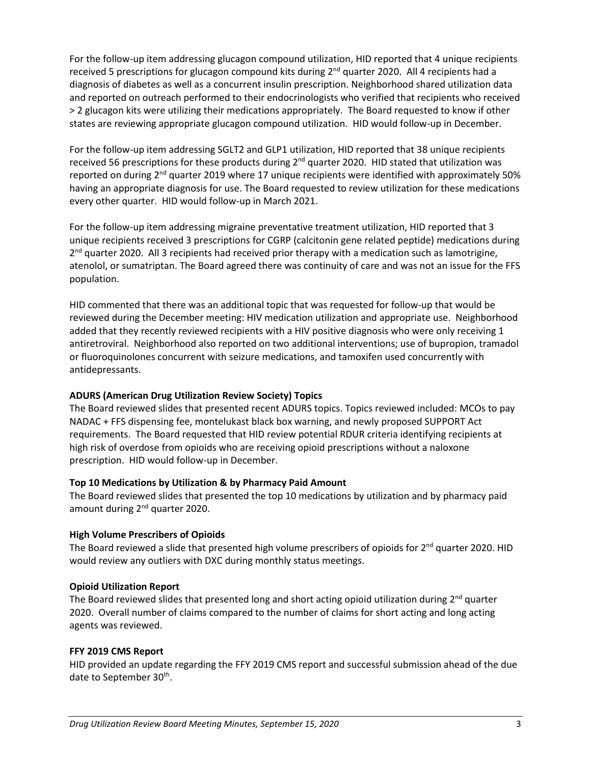For the follow-up item addressing glucagon compound utilization, HID reported that 4 unique recipients received 5 prescriptions for glucagon compound kits during  $2^{nd}$  quarter 2020. All 4 recipients had a diagnosis of diabetes as well as a concurrent insulin prescription. Neighborhood shared utilization data and reported on outreach performed to their endocrinologists who verified that recipients who received > 2 glucagon kits were utilizing their medications appropriately. The Board requested to know if other states are reviewing appropriate glucagon compound utilization. HID would follow-up in December.

For the follow-up item addressing SGLT2 and GLP1 utilization, HID reported that 38 unique recipients received 56 prescriptions for these products during 2<sup>nd</sup> quarter 2020. HID stated that utilization was reported on during 2<sup>nd</sup> quarter 2019 where 17 unique recipients were identified with approximately 50% having an appropriate diagnosis for use. The Board requested to review utilization for these medications every other quarter. HID would follow-up in March 2021.

For the follow-up item addressing migraine preventative treatment utilization, HID reported that 3 unique recipients received 3 prescriptions for CGRP (calcitonin gene related peptide) medications during 2<sup>nd</sup> quarter 2020. All 3 recipients had received prior therapy with a medication such as lamotrigine, atenolol, or sumatriptan. The Board agreed there was continuity of care and was not an issue for the FFS population.

HID commented that there was an additional topic that was requested for follow-up that would be reviewed during the December meeting: HIV medication utilization and appropriate use. Neighborhood added that they recently reviewed recipients with a HIV positive diagnosis who were only receiving 1 antiretroviral. Neighborhood also reported on two additional interventions; use of bupropion, tramadol or fluoroquinolones concurrent with seizure medications, and tamoxifen used concurrently with antidepressants.

# **ADURS (American Drug Utilization Review Society) Topics**

The Board reviewed slides that presented recent ADURS topics. Topics reviewed included: MCOs to pay NADAC + FFS dispensing fee, montelukast black box warning, and newly proposed SUPPORT Act requirements. The Board requested that HID review potential RDUR criteria identifying recipients at high risk of overdose from opioids who are receiving opioid prescriptions without a naloxone prescription. HID would follow-up in December.

## **Top 10 Medications by Utilization & by Pharmacy Paid Amount**

The Board reviewed slides that presented the top 10 medications by utilization and by pharmacy paid amount during 2<sup>nd</sup> quarter 2020.

## **High Volume Prescribers of Opioids**

The Board reviewed a slide that presented high volume prescribers of opioids for 2<sup>nd</sup> quarter 2020. HID would review any outliers with DXC during monthly status meetings.

## **Opioid Utilization Report**

The Board reviewed slides that presented long and short acting opioid utilization during 2<sup>nd</sup> quarter 2020. Overall number of claims compared to the number of claims for short acting and long acting agents was reviewed.

## **FFY 2019 CMS Report**

HID provided an update regarding the FFY 2019 CMS report and successful submission ahead of the due date to September 30<sup>th</sup>.